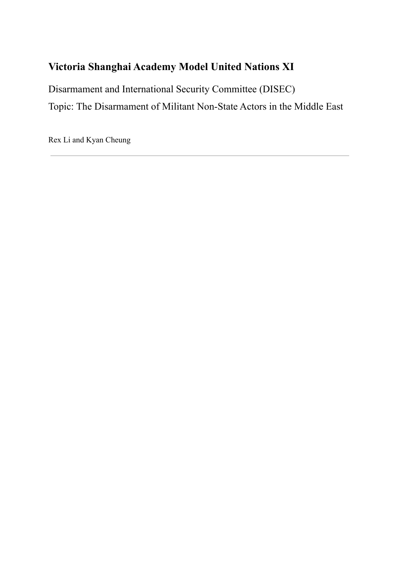# **Victoria Shanghai Academy Model United Nations XI**

Disarmament and International Security Committee (DISEC) Topic: The Disarmament of Militant Non-State Actors in the Middle East

Rex Li and Kyan Cheung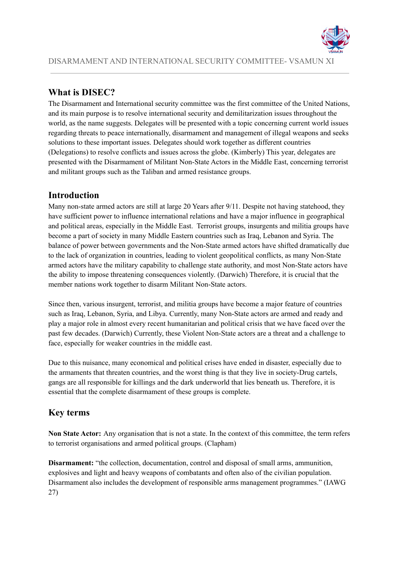

# **What is DISEC?**

The Disarmament and International security committee was the first committee of the United Nations, and its main purpose is to resolve international security and demilitarization issues throughout the world, as the name suggests. Delegates will be presented with a topic concerning current world issues regarding threats to peace internationally, disarmament and management of illegal weapons and seeks solutions to these important issues. Delegates should work together as different countries (Delegations) to resolve conflicts and issues across the globe. (Kimberly) This year, delegates are presented with the Disarmament of Militant Non-State Actors in the Middle East, concerning terrorist and militant groups such as the Taliban and armed resistance groups.

# **Introduction**

Many non-state armed actors are still at large 20 Years after 9/11. Despite not having statehood, they have sufficient power to influence international relations and have a major influence in geographical and political areas, especially in the Middle East. Terrorist groups, insurgents and militia groups have become a part of society in many Middle Eastern countries such as Iraq, Lebanon and Syria. The balance of power between governments and the Non-State armed actors have shifted dramatically due to the lack of organization in countries, leading to violent geopolitical conflicts, as many Non-State armed actors have the military capability to challenge state authority, and most Non-State actors have the ability to impose threatening consequences violently. (Darwich) Therefore, it is crucial that the member nations work together to disarm Militant Non-State actors.

Since then, various insurgent, terrorist, and militia groups have become a major feature of countries such as Iraq, Lebanon, Syria, and Libya. Currently, many Non-State actors are armed and ready and play a major role in almost every recent humanitarian and political crisis that we have faced over the past few decades. (Darwich) Currently, these Violent Non-State actors are a threat and a challenge to face, especially for weaker countries in the middle east.

Due to this nuisance, many economical and political crises have ended in disaster, especially due to the armaments that threaten countries, and the worst thing is that they live in society-Drug cartels, gangs are all responsible for killings and the dark underworld that lies beneath us. Therefore, it is essential that the complete disarmament of these groups is complete.

# **Key terms**

**Non State Actor:** Any organisation that is not a state. In the context of this committee, the term refers to terrorist organisations and armed political groups. (Clapham)

**Disarmament:** "the collection, documentation, control and disposal of small arms, ammunition, explosives and light and heavy weapons of combatants and often also of the civilian population. Disarmament also includes the development of responsible arms management programmes." (IAWG 27)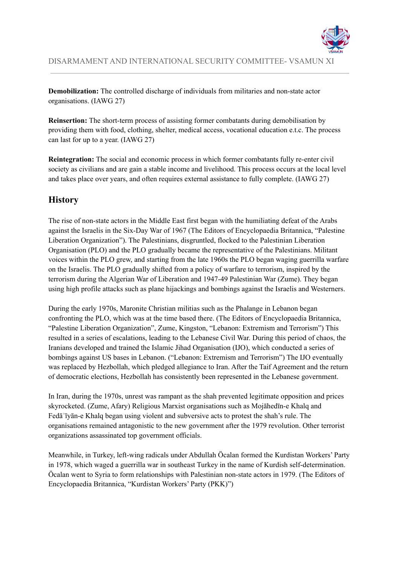

**Demobilization:** The controlled discharge of individuals from militaries and non-state actor organisations. (IAWG 27)

**Reinsertion:** The short-term process of assisting former combatants during demobilisation by providing them with food, clothing, shelter, medical access, vocational education e.t.c. The process can last for up to a year. (IAWG 27)

**Reintegration:** The social and economic process in which former combatants fully re-enter civil society as civilians and are gain a stable income and livelihood. This process occurs at the local level and takes place over years, and often requires external assistance to fully complete. (IAWG 27)

# **History**

The rise of non-state actors in the Middle East first began with the humiliating defeat of the Arabs against the Israelis in the Six-Day War of 1967 (The Editors of Encyclopaedia Britannica, "Palestine Liberation Organization"). The Palestinians, disgruntled, flocked to the Palestinian Liberation Organisation (PLO) and the PLO gradually became the representative of the Palestinians. Militant voices within the PLO grew, and starting from the late 1960s the PLO began waging guerrilla warfare on the Israelis. The PLO gradually shifted from a policy of warfare to terrorism, inspired by the terrorism during the Algerian War of Liberation and 1947-49 Palestinian War (Zume). They began using high profile attacks such as plane hijackings and bombings against the Israelis and Westerners.

During the early 1970s, Maronite Christian militias such as the Phalange in Lebanon began confronting the PLO, which was at the time based there. (The Editors of Encyclopaedia Britannica, "Palestine Liberation Organization", Zume, Kingston, "Lebanon: Extremism and Terrorism") This resulted in a series of escalations, leading to the Lebanese Civil War. During this period of chaos, the Iranians developed and trained the Islamic Jihad Organisation (IJO), which conducted a series of bombings against US bases in Lebanon. ("Lebanon: Extremism and Terrorism") The IJO eventually was replaced by Hezbollah, which pledged allegiance to Iran. After the Taif Agreement and the return of democratic elections, Hezbollah has consistently been represented in the Lebanese government.

In Iran, during the 1970s, unrest was rampant as the shah prevented legitimate opposition and prices skyrocketed. (Zume, Afary) Religious Marxist organisations such as Mojāhedīn-e Khalq and Fedāʾīyān-e Khalq began using violent and subversive acts to protest the shah's rule. The organisations remained antagonistic to the new government after the 1979 revolution. Other terrorist organizations assassinated top government officials.

Meanwhile, in Turkey, left-wing radicals under Abdullah Öcalan formed the Kurdistan Workers' Party in 1978, which waged a guerrilla war in southeast Turkey in the name of Kurdish self-determination. Öcalan went to Syria to form relationships with Palestinian non-state actors in 1979. (The Editors of Encyclopaedia Britannica, "Kurdistan Workers' Party (PKK)")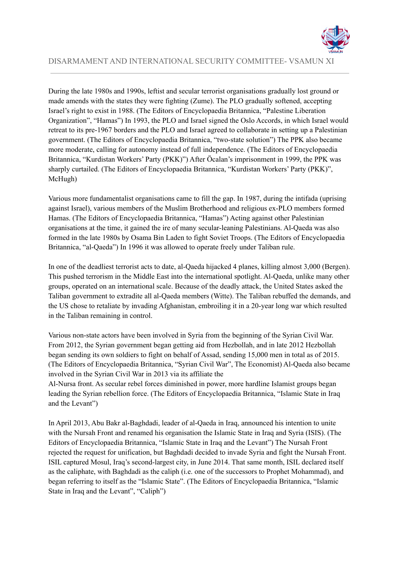

During the late 1980s and 1990s, leftist and secular terrorist organisations gradually lost ground or made amends with the states they were fighting (Zume). The PLO gradually softened, accepting Israel's right to exist in 1988. (The Editors of Encyclopaedia Britannica, "Palestine Liberation Organization", "Hamas") In 1993, the PLO and Israel signed the Oslo Accords, in which Israel would retreat to its pre-1967 borders and the PLO and Israel agreed to collaborate in setting up a Palestinian government. (The Editors of Encyclopaedia Britannica, "two-state solution") The PPK also became more moderate, calling for autonomy instead of full independence. (The Editors of Encyclopaedia Britannica, "Kurdistan Workers' Party (PKK)") After Öcalan's imprisonment in 1999, the PPK was sharply curtailed. (The Editors of Encyclopaedia Britannica, "Kurdistan Workers' Party (PKK)", McHugh)

Various more fundamentalist organisations came to fill the gap. In 1987, during the intifada (uprising against Israel), various members of the Muslim Brotherhood and religious ex-PLO members formed Hamas. (The Editors of Encyclopaedia Britannica, "Hamas") Acting against other Palestinian organisations at the time, it gained the ire of many secular-leaning Palestinians. Al-Qaeda was also formed in the late 1980s by Osama Bin Laden to fight Soviet Troops. (The Editors of Encyclopaedia Britannica, "al-Qaeda") In 1996 it was allowed to operate freely under Taliban rule.

In one of the deadliest terrorist acts to date, al-Qaeda hijacked 4 planes, killing almost 3,000 (Bergen). This pushed terrorism in the Middle East into the international spotlight. Al-Qaeda, unlike many other groups, operated on an international scale. Because of the deadly attack, the United States asked the Taliban government to extradite all al-Qaeda members (Witte). The Taliban rebuffed the demands, and the US chose to retaliate by invading Afghanistan, embroiling it in a 20-year long war which resulted in the Taliban remaining in control.

Various non-state actors have been involved in Syria from the beginning of the Syrian Civil War. From 2012, the Syrian government began getting aid from Hezbollah, and in late 2012 Hezbollah began sending its own soldiers to fight on behalf of Assad, sending 15,000 men in total as of 2015. (The Editors of Encyclopaedia Britannica, "Syrian Civil War", The Economist) Al-Qaeda also became involved in the Syrian Civil War in 2013 via its affiliate the

Al-Nursa front. As secular rebel forces diminished in power, more hardline Islamist groups began leading the Syrian rebellion force. (The Editors of Encyclopaedia Britannica, "Islamic State in Iraq and the Levant")

In April 2013, Abu Bakr al-Baghdadi, leader of al-Qaeda in Iraq, announced his intention to unite with the Nursah Front and renamed his organisation the Islamic State in Iraq and Syria (ISIS). (The Editors of Encyclopaedia Britannica, "Islamic State in Iraq and the Levant") The Nursah Front rejected the request for unification, but Baghdadi decided to invade Syria and fight the Nursah Front. ISIL captured Mosul, Iraq's second-largest city, in June 2014. That same month, ISIL declared itself as the caliphate, with Baghdadi as the caliph (i.e. one of the successors to Prophet Mohammad), and began referring to itself as the "Islamic State". (The Editors of Encyclopaedia Britannica, "Islamic State in Iraq and the Levant", "Caliph")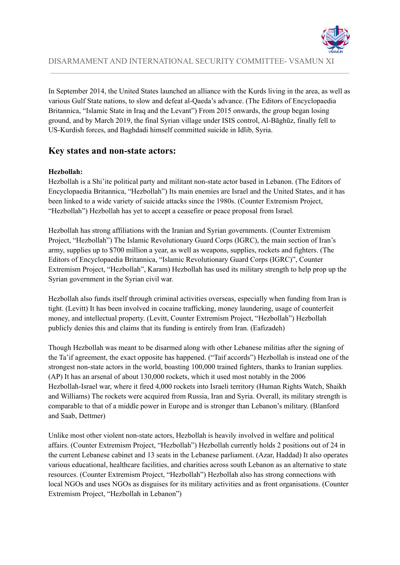

In September 2014, the United States launched an alliance with the Kurds living in the area, as well as various Gulf State nations, to slow and defeat al-Qaeda's advance. (The Editors of Encyclopaedia Britannica, "Islamic State in Iraq and the Levant") From 2015 onwards, the group began losing ground, and by March 2019, the final Syrian village under ISIS control, Al-Bāghūz, finally fell to US-Kurdish forces, and Baghdadi himself committed suicide in Idlib, Syria.

### **Key states and non-state actors:**

#### **Hezbollah:**

Hezbollah is a Shi'ite political party and militant non-state actor based in Lebanon. (The Editors of Encyclopaedia Britannica, "Hezbollah") Its main enemies are Israel and the United States, and it has been linked to a wide variety of suicide attacks since the 1980s. (Counter Extremism Project, "Hezbollah") Hezbollah has yet to accept a ceasefire or peace proposal from Israel.

Hezbollah has strong affiliations with the Iranian and Syrian governments. (Counter Extremism Project, "Hezbollah") The Islamic Revolutionary Guard Corps (IGRC), the main section of Iran's army, supplies up to \$700 million a year, as well as weapons, supplies, rockets and fighters. (The Editors of Encyclopaedia Britannica, "Islamic Revolutionary Guard Corps (IGRC)", Counter Extremism Project, "Hezbollah", Karam) Hezbollah has used its military strength to help prop up the Syrian government in the Syrian civil war.

Hezbollah also funds itself through criminal activities overseas, especially when funding from Iran is tight. (Levitt) It has been involved in cocaine trafficking, money laundering, usage of counterfeit money, and intellectual property. (Levitt, Counter Extremism Project, "Hezbollah") Hezbollah publicly denies this and claims that its funding is entirely from Iran. (Eafizadeh)

Though Hezbollah was meant to be disarmed along with other Lebanese militias after the signing of the Ta'if agreement, the exact opposite has happened. ("Taif accords") Hezbollah is instead one of the strongest non-state actors in the world, boasting 100,000 trained fighters, thanks to Iranian supplies. (AP) It has an arsenal of about 130,000 rockets, which it used most notably in the 2006 Hezbollah-Israel war, where it fired 4,000 rockets into Israeli territory (Human Rights Watch, Shaikh and Williams) The rockets were acquired from Russia, Iran and Syria. Overall, its military strength is comparable to that of a middle power in Europe and is stronger than Lebanon's military. (Blanford and Saab, Dettmer)

Unlike most other violent non-state actors, Hezbollah is heavily involved in welfare and political affairs. (Counter Extremism Project, "Hezbollah") Hezbollah currently holds 2 positions out of 24 in the current Lebanese cabinet and 13 seats in the Lebanese parliament. (Azar, Haddad) It also operates various educational, healthcare facilities, and charities across south Lebanon as an alternative to state resources. (Counter Extremism Project, "Hezbollah") Hezbollah also has strong connections with local NGOs and uses NGOs as disguises for its military activities and as front organisations. (Counter Extremism Project, "Hezbollah in Lebanon")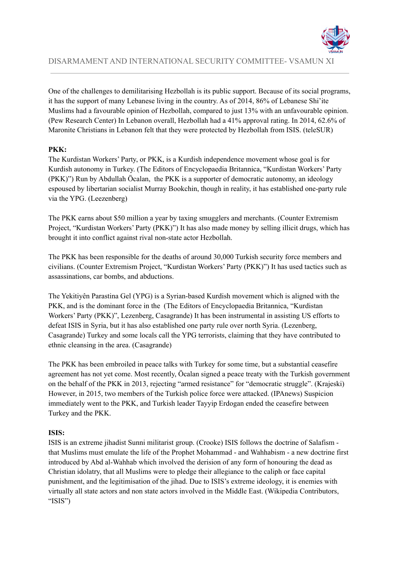

One of the challenges to demilitarising Hezbollah is its public support. Because of its social programs, it has the support of many Lebanese living in the country. As of 2014, 86% of Lebanese Shi'ite Muslims had a favourable opinion of Hezbollah, compared to just 13% with an unfavourable opinion. (Pew Research Center) In Lebanon overall, Hezbollah had a 41% approval rating. In 2014, 62.6% of Maronite Christians in Lebanon felt that they were protected by Hezbollah from ISIS. (teleSUR)

### **PKK:**

The Kurdistan Workers' Party, or PKK, is a Kurdish independence movement whose goal is for Kurdish autonomy in Turkey. (The Editors of Encyclopaedia Britannica, "Kurdistan Workers' Party (PKK)") Run by Abdullah Öcalan, the PKK is a supporter of democratic autonomy, an ideology espoused by libertarian socialist Murray Bookchin, though in reality, it has established one-party rule via the YPG. (Leezenberg)

The PKK earns about \$50 million a year by taxing smugglers and merchants. (Counter Extremism Project, "Kurdistan Workers' Party (PKK)") It has also made money by selling illicit drugs, which has brought it into conflict against rival non-state actor Hezbollah.

The PKK has been responsible for the deaths of around 30,000 Turkish security force members and civilians. (Counter Extremism Project, "Kurdistan Workers' Party (PKK)") It has used tactics such as assassinations, car bombs, and abductions.

The Yekitiyên Parastina Gel (YPG) is a Syrian-based Kurdish movement which is aligned with the PKK, and is the dominant force in the (The Editors of Encyclopaedia Britannica, "Kurdistan Workers' Party (PKK)", Lezenberg, Casagrande) It has been instrumental in assisting US efforts to defeat ISIS in Syria, but it has also established one party rule over north Syria. (Lezenberg, Casagrande) Turkey and some locals call the YPG terrorists, claiming that they have contributed to ethnic cleansing in the area. (Casagrande)

The PKK has been embroiled in peace talks with Turkey for some time, but a substantial ceasefire agreement has not yet come. Most recently, Öcalan signed a peace treaty with the Turkish government on the behalf of the PKK in 2013, rejecting "armed resistance" for "democratic struggle". [\(Krajeski\)](https://www.newyorker.com/contributors/jenna-krajeski) However, in 2015, two members of the Turkish police force were attacked. (IPAnews) Suspicion immediately went to the PKK, and Turkish leader Tayyip Erdogan ended the ceasefire between Turkey and the PKK.

#### **ISIS:**

ISIS is an extreme jihadist Sunni militarist group. (Crooke) ISIS follows the doctrine of Salafism that Muslims must emulate the life of the Prophet Mohammad - and Wahhabism - a new doctrine first introduced by Abd al-Wahhab which involved the derision of any form of honouring the dead as Christian idolatry, that all Muslims were to pledge their allegiance to the caliph or face capital punishment, and the legitimisation of the jihad. Due to ISIS's extreme ideology, it is enemies with virtually all state actors and non state actors involved in the Middle East. (Wikipedia Contributors, "ISIS")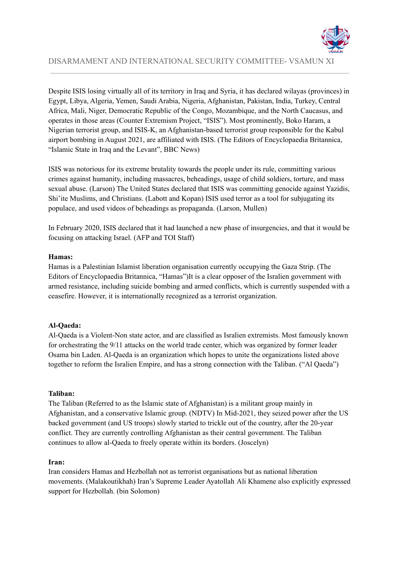

Despite ISIS losing virtually all of its territory in Iraq and Syria, it has declared wilayas (provinces) in Egypt, Libya, Algeria, Yemen, Saudi Arabia, Nigeria, Afghanistan, Pakistan, India, Turkey, Central Africa, Mali, Niger, Democratic Republic of the Congo, Mozambique, and the North Caucasus, and operates in those areas (Counter Extremism Project, "ISIS"). Most prominently, Boko Haram, a Nigerian terrorist group, and ISIS-K, an Afghanistan-based terrorist group responsible for the Kabul airport bombing in August 2021, are affiliated with ISIS. (The Editors of Encyclopaedia Britannica, "Islamic State in Iraq and the Levant", BBC News)

ISIS was notorious for its extreme brutality towards the people under its rule, committing various crimes against humanity, including massacres, beheadings, usage of child soldiers, torture, and mass sexual abuse. (Larson) The United States declared that ISIS was committing genocide against Yazidis, Shi'ite Muslims, and Christians. (Labott and Kopan) ISIS used terror as a tool for subjugating its populace, and used videos of beheadings as propaganda. (Larson, Mullen)

In February 2020, ISIS declared that it had launched a new phase of insurgencies, and that it would be focusing on attacking Israel. (AFP and TOI Staff)

#### **Hamas:**

Hamas is a Palestinian Islamist liberation organisation currently occupying the Gaza Strip. (The Editors of Encyclopaedia Britannica, "Hamas")It is a clear opposer of the Isralien government with armed resistance, including suicide bombing and armed conflicts, which is currently suspended with a ceasefire. However, it is internationally recognized as a terrorist organization.

#### **Al-Qaeda:**

Al-Qaeda is a Violent-Non state actor, and are classified as Isralien extremists. Most famously known for orchestrating the 9/11 attacks on the world trade center, which was organized by former leader Osama bin Laden. Al-Qaeda is an organization which hopes to unite the organizations listed above together to reform the Isralien Empire, and has a strong connection with the Taliban. ("Al Qaeda")

#### **Taliban:**

The Taliban (Referred to as the Islamic state of Afghanistan) is a militant group mainly in Afghanistan, and a conservative Islamic group. (NDTV) In Mid-2021, they seized power after the US backed government (and US troops) slowly started to trickle out of the country, after the 20-year conflict. They are currently controlling Afghanistan as their central government. The Taliban continues to allow al-Qaeda to freely operate within its borders. (Joscelyn)

#### **Iran:**

Iran considers Hamas and Hezbollah not as terrorist organisations but as national liberation movements. ([Malakoutikhah](https://www.tandfonline.com/author/Malakoutikhah%2C+Zeynab)) Iran's Supreme Leader Ayatollah Ali Khamene also explicitly expressed support for Hezbollah. (bin Solomon)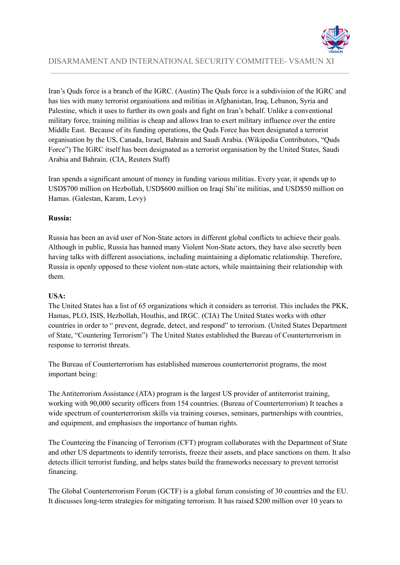

Iran's Quds force is a branch of the IGRC. (Austin) The Quds force is a subdivision of the IGRC and has ties with many terrorist organisations and militias in Afghanistan, Iraq, Lebanon, Syria and Palestine, which it uses to further its own goals and fight on Iran's behalf. Unlike a conventional military force, training militias is cheap and allows Iran to exert military influence over the entire Middle East. Because of its funding operations, the Quds Force has been designated a terrorist organisation by the US, Canada, Israel, Bahrain and Saudi Arabia. (Wikipedia Contributors, "Quds Force") The IGRC itself has been designated as a terrorist organisation by the United States, Saudi Arabia and Bahrain. (CIA, Reuters Staff)

Iran spends a significant amount of money in funding various militias. Every year, it spends up to USD\$700 million on Hezbollah, USD\$600 million on Iraqi Shi'ite militias, and USD\$50 million on Hamas. (Galestan, Karam, Levy)

#### **Russia:**

Russia has been an avid user of Non-State actors in different global conflicts to achieve their goals. Although in public, Russia has banned many Violent Non-State actors, they have also secretly been having talks with different associations, including maintaining a diplomatic relationship. Therefore, Russia is openly opposed to these violent non-state actors, while maintaining their relationship with them.

#### **USA:**

The United States has a list of 65 organizations which it considers as terrorist. This includes the PKK, Hamas, PLO, ISIS, Hezbollah, Houthis, and IRGC. (CIA) The United States works with other countries in order to " prevent, degrade, detect, and respond" to terrorism. (United States Department of State, "Countering Terrorism") The United States established the Bureau of Counterterrorism in response to terrorist threats.

The Bureau of Counterterrorism has established numerous counterterrorist programs, the most important being:

The Antiterrorism Assistance (ATA) program is the largest US provider of antiterrorist training, working with 90,000 security officers from 154 countries. (Bureau of Counterterrorism) It teaches a wide spectrum of counterterrorism skills via training courses, seminars, partnerships with countries, and equipment, and emphasises the importance of human rights.

The Countering the Financing of Terrorism (CFT) program collaborates with the Department of State and other US departments to identify terrorists, freeze their assets, and place sanctions on them. It also detects illicit terrorist funding, and helps states build the frameworks necessary to prevent terrorist financing.

The Global Counterterrorism Forum (GCTF) is a global forum consisting of 30 countries and the EU. It discusses long-term strategies for mitigating terrorism. It has raised \$200 million over 10 years to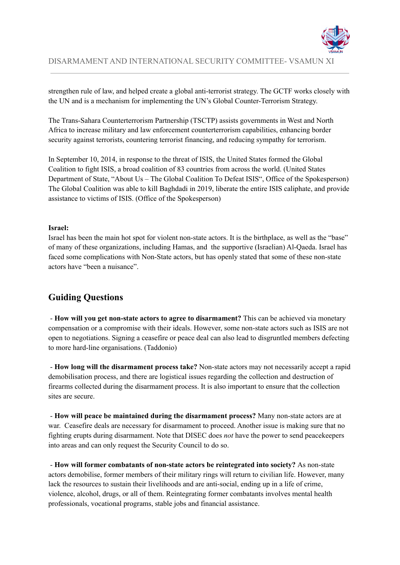

strengthen rule of law, and helped create a global anti-terrorist strategy. The GCTF works closely with the UN and is a mechanism for implementing the UN's Global Counter-Terrorism Strategy.

The Trans-Sahara Counterterrorism Partnership (TSCTP) assists governments in West and North Africa to increase military and law enforcement counterterrorism capabilities, enhancing border security against terrorists, countering terrorist financing, and reducing sympathy for terrorism.

In September 10, 2014, in response to the threat of ISIS, the United States formed the Global Coalition to fight ISIS, a broad coalition of 83 countries from across the world. (United States Department of State, "About Us – The Global Coalition To Defeat ISIS", Office of the Spokesperson) The Global Coalition was able to kill Baghdadi in 2019, liberate the entire ISIS caliphate, and provide assistance to victims of ISIS. (Office of the Spokesperson)

#### **Israel:**

Israel has been the main hot spot for violent non-state actors. It is the birthplace, as well as the "base" of many of these organizations, including Hamas, and the supportive (Israelian) Al-Qaeda. Israel has faced some complications with Non-State actors, but has openly stated that some of these non-state actors have "been a nuisance".

# **Guiding Questions**

- **How will you get non-state actors to agree to disarmament?** This can be achieved via monetary compensation or a compromise with their ideals. However, some non-state actors such as ISIS are not open to negotiations. Signing a ceasefire or peace deal can also lead to disgruntled members defecting to more hard-line organisations. (Taddonio)

- **How long will the disarmament process take?** Non-state actors may not necessarily accept a rapid demobilisation process, and there are logistical issues regarding the collection and destruction of firearms collected during the disarmament process. It is also important to ensure that the collection sites are secure.

- **How will peace be maintained during the disarmament process?** Many non-state actors are at war. Ceasefire deals are necessary for disarmament to proceed. Another issue is making sure that no fighting erupts during disarmament. Note that DISEC does *not* have the power to send peacekeepers into areas and can only request the Security Council to do so.

- **How will former combatants of non-state actors be reintegrated into society?** As non-state actors demobilise, former members of their military rings will return to civilian life. However, many lack the resources to sustain their livelihoods and are anti-social, ending up in a life of crime, violence, alcohol, drugs, or all of them. Reintegrating former combatants involves mental health professionals, vocational programs, stable jobs and financial assistance.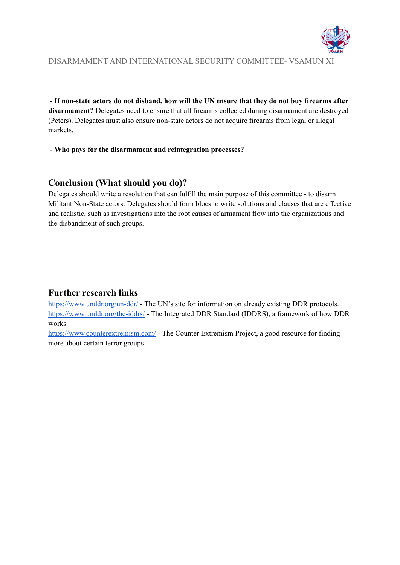

- **If non-state actors do not disband, how will the UN ensure that they do not buy firearms after disarmament?** Delegates need to ensure that all firearms collected during disarmament are destroyed (Peters). Delegates must also ensure non-state actors do not acquire firearms from legal or illegal markets.

- **Who pays for the disarmament and reintegration processes?**

### **Conclusion (What should you do)?**

Delegates should write a resolution that can fulfill the main purpose of this committee - to disarm Militant Non-State actors. Delegates should form blocs to write solutions and clauses that are effective and realistic, such as investigations into the root causes of armament flow into the organizations and the disbandment of such groups.

### **Further research links**

<https://www.unddr.org/un-ddr/> - The UN's site for information on already existing DDR protocols. <https://www.unddr.org/the-iddrs/> - The Integrated DDR Standard (IDDRS), a framework of how DDR works

<https://www.counterextremism.com/> - The Counter Extremism Project, a good resource for finding more about certain terror groups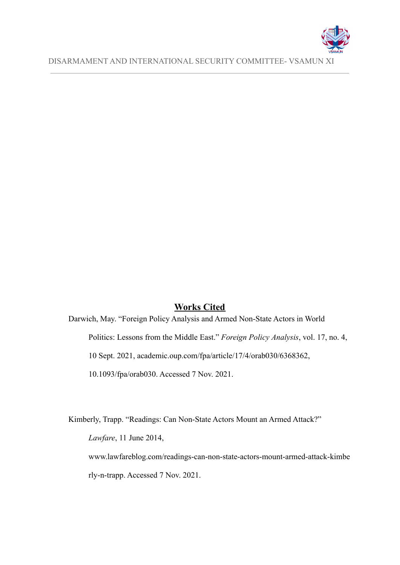

### **Works Cited**

Darwich, May. "Foreign Policy Analysis and Armed Non-State Actors in World Politics: Lessons from the Middle East." *Foreign Policy Analysis*, vol. 17, no. 4, 10 Sept. 2021, academic.oup.com/fpa/article/17/4/orab030/6368362, 10.1093/fpa/orab030. Accessed 7 Nov. 2021.

Kimberly, Trapp. "Readings: Can Non-State Actors Mount an Armed Attack?"

*Lawfare*, 11 June 2014,

www.lawfareblog.com/readings-can-non-state-actors-mount-armed-attack-kimbe rly-n-trapp. Accessed 7 Nov. 2021.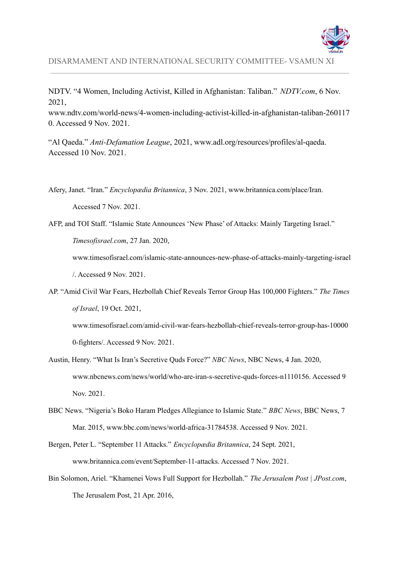

NDTV. "4 Women, Including Activist, Killed in Afghanistan: Taliban." *NDTV.com*, 6 Nov. 2021,

www.ndtv.com/world-news/4-women-including-activist-killed-in-afghanistan-taliban-260117 0. Accessed 9 Nov. 2021.

"Al Qaeda." *Anti-Defamation League*, 2021, www.adl.org/resources/profiles/al-qaeda. Accessed 10 Nov. 2021.

Afery, Janet. "Iran." *Encyclopædia Britannica*, 3 Nov. 2021, www.britannica.com/place/Iran. Accessed 7 Nov. 2021.

AFP, and TOI Staff. "Islamic State Announces 'New Phase' of Attacks: Mainly Targeting Israel." *Timesofisrael.com*, 27 Jan. 2020,

www.timesofisrael.com/islamic-state-announces-new-phase-of-attacks-mainly-targeting-israel /. Accessed 9 Nov. 2021.

AP. "Amid Civil War Fears, Hezbollah Chief Reveals Terror Group Has 100,000 Fighters." *The Times of Israel*, 19 Oct. 2021,

www.timesofisrael.com/amid-civil-war-fears-hezbollah-chief-reveals-terror-group-has-10000 0-fighters/. Accessed 9 Nov. 2021.

- Austin, Henry. "What Is Iran's Secretive Quds Force?" *NBC News*, NBC News, 4 Jan. 2020, www.nbcnews.com/news/world/who-are-iran-s-secretive-quds-forces-n1110156. Accessed 9 Nov. 2021.
- BBC News. "Nigeria's Boko Haram Pledges Allegiance to Islamic State." *BBC News*, BBC News, 7 Mar. 2015, www.bbc.com/news/world-africa-31784538. Accessed 9 Nov. 2021.
- Bergen, Peter L. "September 11 Attacks." *Encyclopædia Britannica*, 24 Sept. 2021, www.britannica.com/event/September-11-attacks. Accessed 7 Nov. 2021.
- Bin Solomon, Ariel. "Khamenei Vows Full Support for Hezbollah." *The Jerusalem Post | JPost.com*, The Jerusalem Post, 21 Apr. 2016,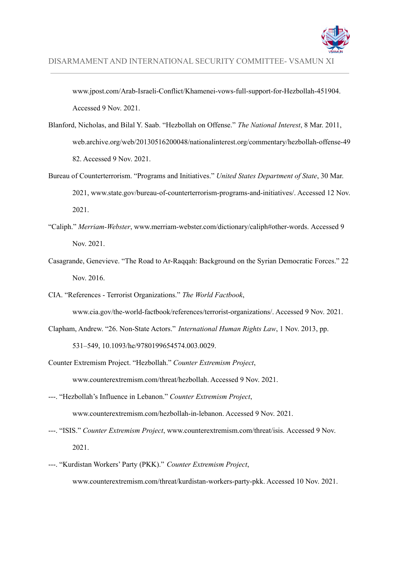

www.jpost.com/Arab-Israeli-Conflict/Khamenei-vows-full-support-for-Hezbollah-451904. Accessed 9 Nov. 2021.

- Blanford, Nicholas, and Bilal Y. Saab. "Hezbollah on Offense." *The National Interest*, 8 Mar. 2011, web.archive.org/web/20130516200048/nationalinterest.org/commentary/hezbollah-offense-49 82. Accessed 9 Nov. 2021.
- Bureau of Counterterrorism. "Programs and Initiatives." *United States Department of State*, 30 Mar. 2021, www.state.gov/bureau-of-counterterrorism-programs-and-initiatives/. Accessed 12 Nov. 2021.
- "Caliph." *Merriam-Webster*, www.merriam-webster.com/dictionary/caliph#other-words. Accessed 9 Nov. 2021.
- Casagrande, Genevieve. "The Road to Ar-Raqqah: Background on the Syrian Democratic Forces." 22 Nov. 2016.
- CIA. "References Terrorist Organizations." *The World Factbook*, www.cia.gov/the-world-factbook/references/terrorist-organizations/. Accessed 9 Nov. 2021.
- Clapham, Andrew. "26. Non-State Actors." *International Human Rights Law*, 1 Nov. 2013, pp. 531–549, 10.1093/he/9780199654574.003.0029.
- Counter Extremism Project. "Hezbollah." *Counter Extremism Project*, www.counterextremism.com/threat/hezbollah. Accessed 9 Nov. 2021.
- ---. "Hezbollah's Influence in Lebanon." *Counter Extremism Project*, www.counterextremism.com/hezbollah-in-lebanon. Accessed 9 Nov. 2021.
- ---. "ISIS." *Counter Extremism Project*, www.counterextremism.com/threat/isis. Accessed 9 Nov. 2021.
- ---. "Kurdistan Workers' Party (PKK)." *Counter Extremism Project*, www.counterextremism.com/threat/kurdistan-workers-party-pkk. Accessed 10 Nov. 2021.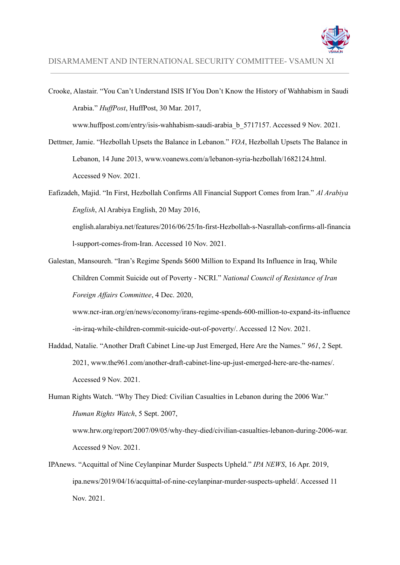

Crooke, Alastair. "You Can't Understand ISIS If You Don't Know the History of Wahhabism in Saudi Arabia." *HuffPost*, HuffPost, 30 Mar. 2017,

www.huffpost.com/entry/isis-wahhabism-saudi-arabia\_b\_5717157. Accessed 9 Nov. 2021.

- Dettmer, Jamie. "Hezbollah Upsets the Balance in Lebanon." *VOA*, Hezbollah Upsets The Balance in Lebanon, 14 June 2013, www.voanews.com/a/lebanon-syria-hezbollah/1682124.html. Accessed 9 Nov. 2021.
- Eafizadeh, Majid. "In First, Hezbollah Confirms All Financial Support Comes from Iran." *Al Arabiya English*, Al Arabiya English, 20 May 2016, english.alarabiya.net/features/2016/06/25/In-first-Hezbollah-s-Nasrallah-confirms-all-financia

l-support-comes-from-Iran. Accessed 10 Nov. 2021.

Galestan, Mansoureh. "Iran's Regime Spends \$600 Million to Expand Its Influence in Iraq, While Children Commit Suicide out of Poverty - NCRI." *National Council of Resistance of Iran Foreign Af airs Committee*, 4 Dec. 2020,

www.ncr-iran.org/en/news/economy/irans-regime-spends-600-million-to-expand-its-influence -in-iraq-while-children-commit-suicide-out-of-poverty/. Accessed 12 Nov. 2021.

Haddad, Natalie. "Another Draft Cabinet Line-up Just Emerged, Here Are the Names." *961*, 2 Sept. 2021, www.the961.com/another-draft-cabinet-line-up-just-emerged-here-are-the-names/. Accessed 9 Nov. 2021.

Human Rights Watch. "Why They Died: Civilian Casualties in Lebanon during the 2006 War." *Human Rights Watch*, 5 Sept. 2007, www.hrw.org/report/2007/09/05/why-they-died/civilian-casualties-lebanon-during-2006-war. Accessed 9 Nov. 2021.

IPAnews. "Acquittal of Nine Ceylanpinar Murder Suspects Upheld." *IPA NEWS*, 16 Apr. 2019, ipa.news/2019/04/16/acquittal-of-nine-ceylanpinar-murder-suspects-upheld/. Accessed 11 Nov. 2021.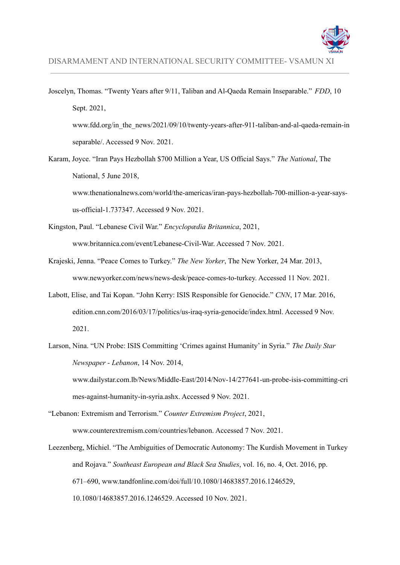

- Joscelyn, Thomas. "Twenty Years after 9/11, Taliban and Al-Qaeda Remain Inseparable." *FDD*, 10 Sept. 2021, www.fdd.org/in\_the\_news/2021/09/10/twenty-years-after-911-taliban-and-al-qaeda-remain-in separable/. Accessed 9 Nov. 2021.
- Karam, Joyce. "Iran Pays Hezbollah \$700 Million a Year, US Official Says." *The National*, The National, 5 June 2018,

www.thenationalnews.com/world/the-americas/iran-pays-hezbollah-700-million-a-year-saysus-official-1.737347. Accessed 9 Nov. 2021.

- Kingston, Paul. "Lebanese Civil War." *Encyclopædia Britannica*, 2021, www.britannica.com/event/Lebanese-Civil-War. Accessed 7 Nov. 2021.
- Krajeski, Jenna. "Peace Comes to Turkey." *The New Yorker*, The New Yorker, 24 Mar. 2013, www.newyorker.com/news/news-desk/peace-comes-to-turkey. Accessed 11 Nov. 2021.
- Labott, Elise, and Tai Kopan. "John Kerry: ISIS Responsible for Genocide." *CNN*, 17 Mar. 2016, edition.cnn.com/2016/03/17/politics/us-iraq-syria-genocide/index.html. Accessed 9 Nov. 2021.
- Larson, Nina. "UN Probe: ISIS Committing 'Crimes against Humanity' in Syria." *The Daily Star Newspaper - Lebanon*, 14 Nov. 2014, www.dailystar.com.lb/News/Middle-East/2014/Nov-14/277641-un-probe-isis-committing-cri mes-against-humanity-in-syria.ashx. Accessed 9 Nov. 2021.
- "Lebanon: Extremism and Terrorism." *Counter Extremism Project*, 2021, www.counterextremism.com/countries/lebanon. Accessed 7 Nov. 2021.
- Leezenberg, Michiel. "The Ambiguities of Democratic Autonomy: The Kurdish Movement in Turkey and Rojava." *Southeast European and Black Sea Studies*, vol. 16, no. 4, Oct. 2016, pp. 671–690, www.tandfonline.com/doi/full/10.1080/14683857.2016.1246529, 10.1080/14683857.2016.1246529. Accessed 10 Nov. 2021.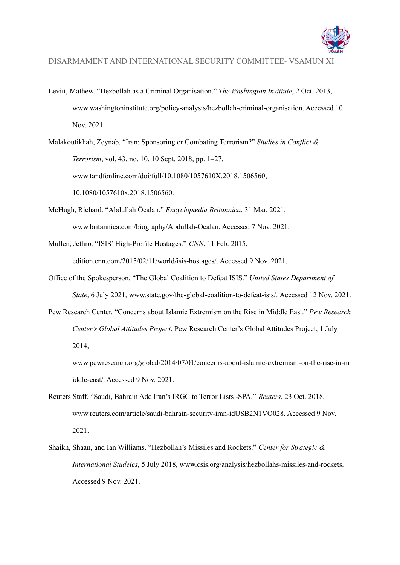

Levitt, Mathew. "Hezbollah as a Criminal Organisation." *The Washington Institute*, 2 Oct. 2013, www.washingtoninstitute.org/policy-analysis/hezbollah-criminal-organisation. Accessed 10 Nov. 2021.

Malakoutikhah, Zeynab. "Iran: Sponsoring or Combating Terrorism?" *Studies in Conflict & Terrorism*, vol. 43, no. 10, 10 Sept. 2018, pp. 1–27, www.tandfonline.com/doi/full/10.1080/1057610X.2018.1506560, 10.1080/1057610x.2018.1506560.

- McHugh, Richard. "Abdullah Öcalan." *Encyclopædia Britannica*, 31 Mar. 2021, www.britannica.com/biography/Abdullah-Ocalan. Accessed 7 Nov. 2021.
- Mullen, Jethro. "ISIS' High-Profile Hostages." *CNN*, 11 Feb. 2015, edition.cnn.com/2015/02/11/world/isis-hostages/. Accessed 9 Nov. 2021.
- Office of the Spokesperson. "The Global Coalition to Defeat ISIS." *United States Department of State*, 6 July 2021, www.state.gov/the-global-coalition-to-defeat-isis/. Accessed 12 Nov. 2021.
- Pew Research Center. "Concerns about Islamic Extremism on the Rise in Middle East." *Pew Research Center's Global Attitudes Project*, Pew Research Center's Global Attitudes Project, 1 July 2014,

www.pewresearch.org/global/2014/07/01/concerns-about-islamic-extremism-on-the-rise-in-m iddle-east/. Accessed 9 Nov. 2021.

- Reuters Staff. "Saudi, Bahrain Add Iran's IRGC to Terror Lists -SPA." *Reuters*, 23 Oct. 2018, www.reuters.com/article/saudi-bahrain-security-iran-idUSB2N1VO028. Accessed 9 Nov. 2021.
- Shaikh, Shaan, and Ian Williams. "Hezbollah's Missiles and Rockets." *Center for Strategic & International Studeies*, 5 July 2018, www.csis.org/analysis/hezbollahs-missiles-and-rockets. Accessed 9 Nov. 2021.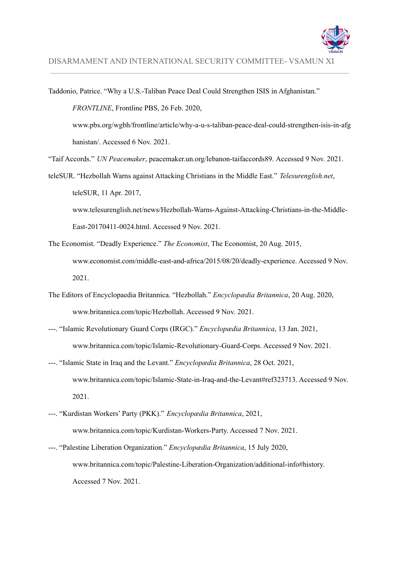

Taddonio, Patrice. "Why a U.S.-Taliban Peace Deal Could Strengthen ISIS in Afghanistan." *FRONTLINE*, Frontline PBS, 26 Feb. 2020, www.pbs.org/wgbh/frontline/article/why-a-u-s-taliban-peace-deal-could-strengthen-isis-in-afg hanistan/. Accessed 6 Nov. 2021. "Taif Accords." *UN Peacemaker*, peacemaker.un.org/lebanon-taifaccords89. Accessed 9 Nov. 2021. teleSUR. "Hezbollah Warns against Attacking Christians in the Middle East." *Telesurenglish.net*, teleSUR, 11 Apr. 2017, www.telesurenglish.net/news/Hezbollah-Warns-Against-Attacking-Christians-in-the-Middle-East-20170411-0024.html. Accessed 9 Nov. 2021.

The Economist. "Deadly Experience." *The Economist*, The Economist, 20 Aug. 2015, www.economist.com/middle-east-and-africa/2015/08/20/deadly-experience. Accessed 9 Nov. 2021.

- The Editors of Encyclopaedia Britannica. "Hezbollah." *Encyclopædia Britannica*, 20 Aug. 2020, www.britannica.com/topic/Hezbollah. Accessed 9 Nov. 2021.
- ---. "Islamic Revolutionary Guard Corps (IRGC)." *Encyclopædia Britannica*, 13 Jan. 2021, www.britannica.com/topic/Islamic-Revolutionary-Guard-Corps. Accessed 9 Nov. 2021.
- ---. "Islamic State in Iraq and the Levant." *Encyclopædia Britannica*, 28 Oct. 2021, www.britannica.com/topic/Islamic-State-in-Iraq-and-the-Levant#ref323713. Accessed 9 Nov. 2021.
- ---. "Kurdistan Workers' Party (PKK)." *Encyclopædia Britannica*, 2021, www.britannica.com/topic/Kurdistan-Workers-Party. Accessed 7 Nov. 2021.
- ---. "Palestine Liberation Organization." *Encyclopædia Britannica*, 15 July 2020, www.britannica.com/topic/Palestine-Liberation-Organization/additional-info#history. Accessed 7 Nov. 2021.